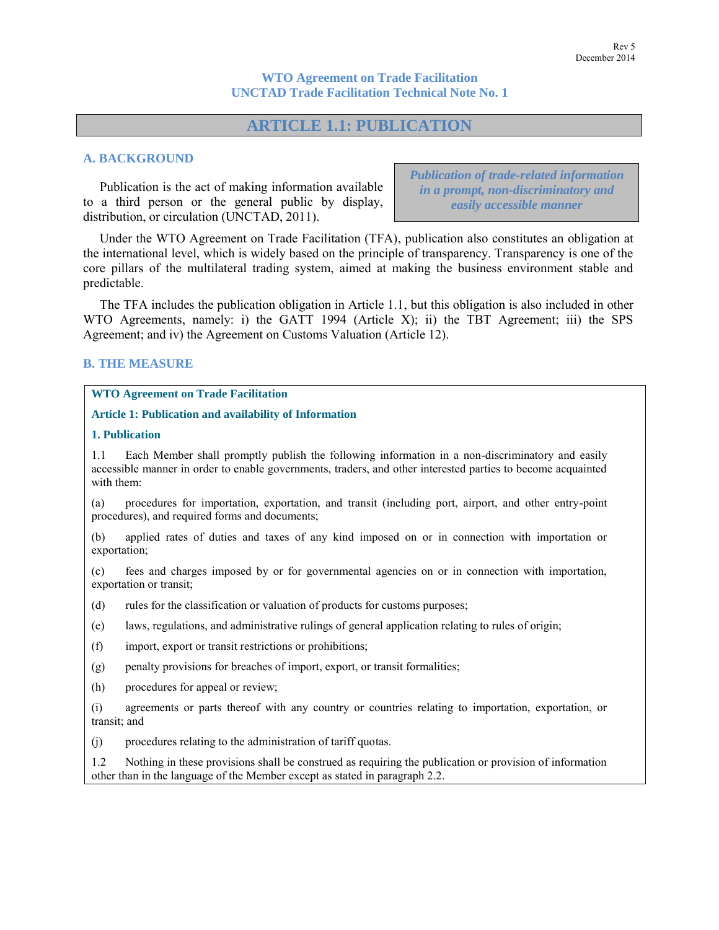**WTO Agreement on Trade Facilitation UNCTAD Trade Facilitation Technical Note No. 1**

# **ARTICLE 1.1: PUBLICATION**

# **A. BACKGROUND**

Publication is the act of making information available to a third person or the general public by display, distribution, or circulation (UNCTAD, 2011).

*Publication of trade-related information in a prompt, non-discriminatory and easily accessible manner*

Under the WTO Agreement on Trade Facilitation (TFA), publication also constitutes an obligation at the international level, which is widely based on the principle of transparency. Transparency is one of the core pillars of the multilateral trading system, aimed at making the business environment stable and predictable.

The TFA includes the publication obligation in Article 1.1, but this obligation is also included in other WTO Agreements, namely: i) the GATT 1994 (Article X); ii) the TBT Agreement; iii) the SPS Agreement; and iv) the Agreement on Customs Valuation (Article 12).

### **B. THE MEASURE**

### **WTO Agreement on Trade Facilitation**

#### **Article 1: Publication and availability of Information**

#### **1. Publication**

1.1 Each Member shall promptly publish the following information in a non-discriminatory and easily accessible manner in order to enable governments, traders, and other interested parties to become acquainted with them:

(a) procedures for importation, exportation, and transit (including port, airport, and other entry-point procedures), and required forms and documents;

(b) applied rates of duties and taxes of any kind imposed on or in connection with importation or exportation;

(c) fees and charges imposed by or for governmental agencies on or in connection with importation, exportation or transit;

(d) rules for the classification or valuation of products for customs purposes;

(e) laws, regulations, and administrative rulings of general application relating to rules of origin;

(f) import, export or transit restrictions or prohibitions;

(g) penalty provisions for breaches of import, export, or transit formalities;

(h) procedures for appeal or review;

(i) agreements or parts thereof with any country or countries relating to importation, exportation, or transit; and

(j) procedures relating to the administration of tariff quotas.

1.2 Nothing in these provisions shall be construed as requiring the publication or provision of information other than in the language of the Member except as stated in paragraph 2.2.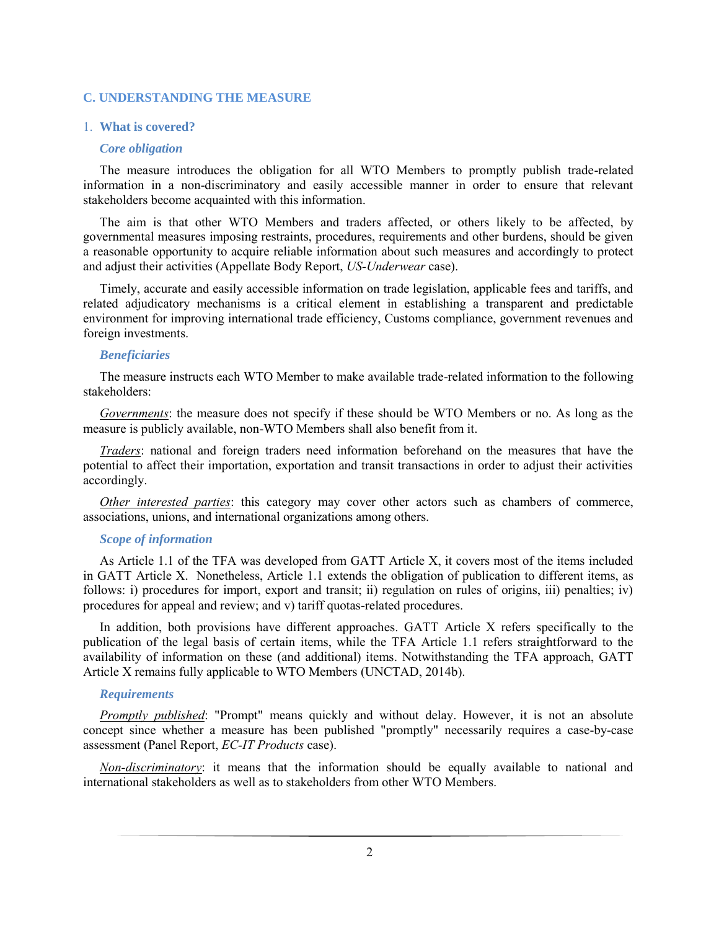# **C. UNDERSTANDING THE MEASURE**

#### 1. **What is covered?**

#### *Core obligation*

The measure introduces the obligation for all WTO Members to promptly publish trade-related information in a non-discriminatory and easily accessible manner in order to ensure that relevant stakeholders become acquainted with this information.

The aim is that other WTO Members and traders affected, or others likely to be affected, by governmental measures imposing restraints, procedures, requirements and other burdens, should be given a reasonable opportunity to acquire reliable information about such measures and accordingly to protect and adjust their activities (Appellate Body Report, *US-Underwear* case).

Timely, accurate and easily accessible information on trade legislation, applicable fees and tariffs, and related adjudicatory mechanisms is a critical element in establishing a transparent and predictable environment for improving international trade efficiency, Customs compliance, government revenues and foreign investments.

#### *Beneficiaries*

The measure instructs each WTO Member to make available trade-related information to the following stakeholders:

*Governments*: the measure does not specify if these should be WTO Members or no. As long as the measure is publicly available, non-WTO Members shall also benefit from it.

*Traders*: national and foreign traders need information beforehand on the measures that have the potential to affect their importation, exportation and transit transactions in order to adjust their activities accordingly.

*Other interested parties*: this category may cover other actors such as chambers of commerce, associations, unions, and international organizations among others.

### *Scope of information*

As Article 1.1 of the TFA was developed from GATT Article X, it covers most of the items included in GATT Article X. Nonetheless, Article 1.1 extends the obligation of publication to different items, as follows: i) procedures for import, export and transit; ii) regulation on rules of origins, iii) penalties; iv) procedures for appeal and review; and v) tariff quotas-related procedures.

In addition, both provisions have different approaches. GATT Article X refers specifically to the publication of the legal basis of certain items, while the TFA Article 1.1 refers straightforward to the availability of information on these (and additional) items. Notwithstanding the TFA approach, GATT Article X remains fully applicable to WTO Members (UNCTAD, 2014b).

#### *Requirements*

*Promptly published*: "Prompt" means quickly and without delay. However, it is not an absolute concept since whether a measure has been published "promptly" necessarily requires a case-by-case assessment (Panel Report, *EC-IT Products* case).

*Non-discriminatory*: it means that the information should be equally available to national and international stakeholders as well as to stakeholders from other WTO Members.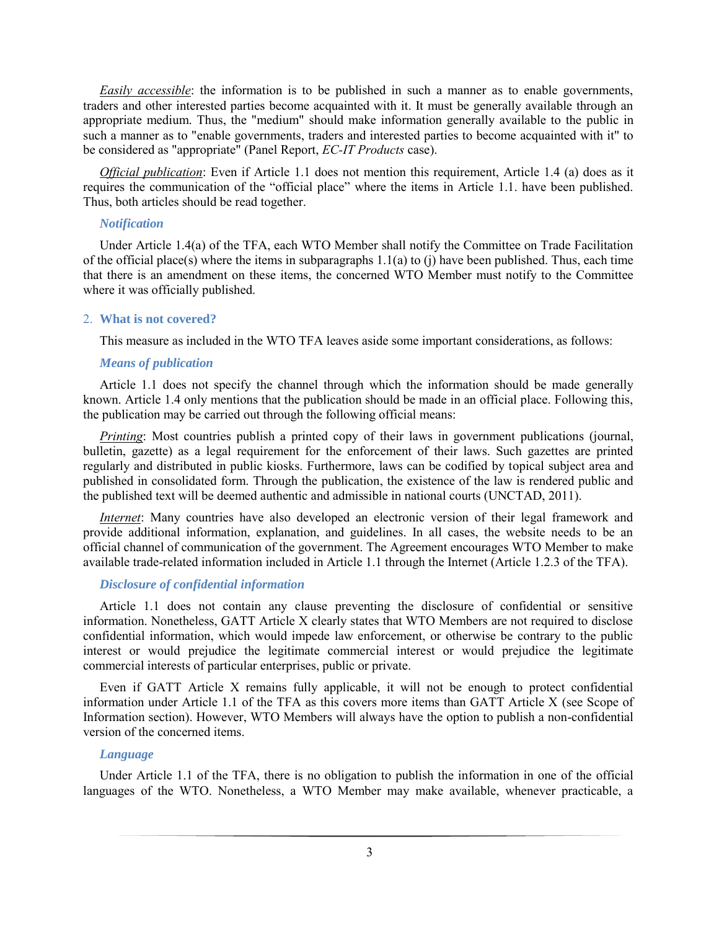*Easily accessible*: the information is to be published in such a manner as to enable governments, traders and other interested parties become acquainted with it. It must be generally available through an appropriate medium. Thus, the "medium" should make information generally available to the public in such a manner as to "enable governments, traders and interested parties to become acquainted with it" to be considered as "appropriate" (Panel Report, *EC-IT Products* case).

*Official publication*: Even if Article 1.1 does not mention this requirement, Article 1.4 (a) does as it requires the communication of the "official place" where the items in Article 1.1. have been published. Thus, both articles should be read together.

### *Notification*

Under Article 1.4(a) of the TFA, each WTO Member shall notify the Committee on Trade Facilitation of the official place(s) where the items in subparagraphs 1.1(a) to (j) have been published. Thus, each time that there is an amendment on these items, the concerned WTO Member must notify to the Committee where it was officially published.

#### 2. **What is not covered?**

This measure as included in the WTO TFA leaves aside some important considerations, as follows:

#### *Means of publication*

Article 1.1 does not specify the channel through which the information should be made generally known. Article 1.4 only mentions that the publication should be made in an official place. Following this, the publication may be carried out through the following official means:

*Printing*: Most countries publish a printed copy of their laws in government publications (journal, bulletin, gazette) as a legal requirement for the enforcement of their laws. Such gazettes are printed regularly and distributed in public kiosks. Furthermore, laws can be codified by topical subject area and published in consolidated form. Through the publication, the existence of the law is rendered public and the published text will be deemed authentic and admissible in national courts (UNCTAD, 2011).

*Internet*: Many countries have also developed an electronic version of their legal framework and provide additional information, explanation, and guidelines. In all cases, the website needs to be an official channel of communication of the government. The Agreement encourages WTO Member to make available trade-related information included in Article 1.1 through the Internet (Article 1.2.3 of the TFA).

# *Disclosure of confidential information*

Article 1.1 does not contain any clause preventing the disclosure of confidential or sensitive information. Nonetheless, GATT Article X clearly states that WTO Members are not required to disclose confidential information, which would impede law enforcement, or otherwise be contrary to the public interest or would prejudice the legitimate commercial interest or would prejudice the legitimate commercial interests of particular enterprises, public or private.

Even if GATT Article X remains fully applicable, it will not be enough to protect confidential information under Article 1.1 of the TFA as this covers more items than GATT Article X (see Scope of Information section). However, WTO Members will always have the option to publish a non-confidential version of the concerned items.

# *Language*

Under Article 1.1 of the TFA, there is no obligation to publish the information in one of the official languages of the WTO. Nonetheless, a WTO Member may make available, whenever practicable, a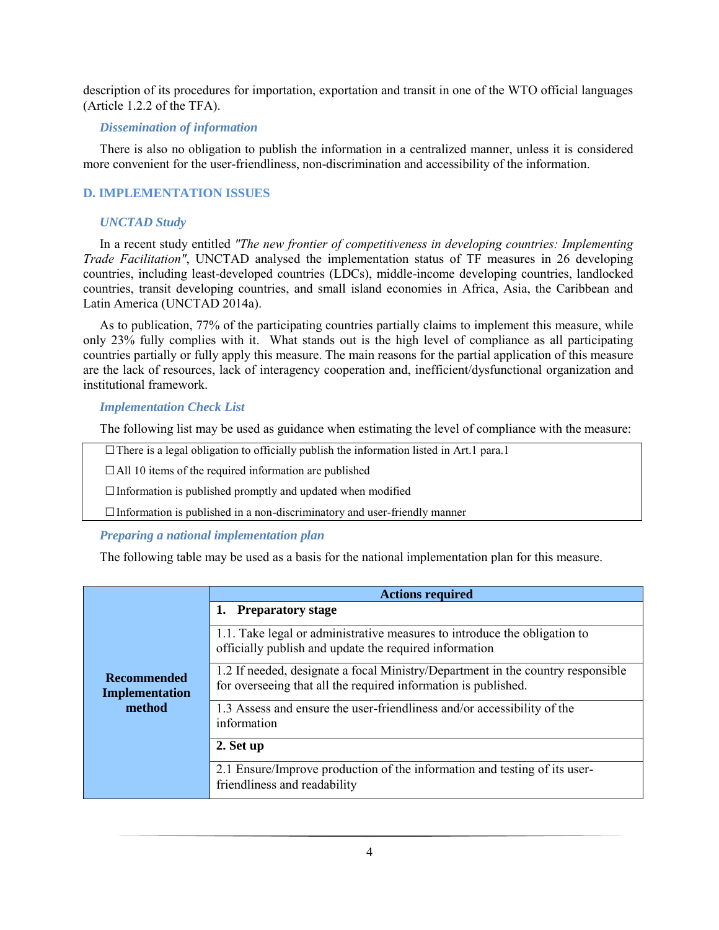description of its procedures for importation, exportation and transit in one of the WTO official languages (Article 1.2.2 of the TFA).

# *Dissemination of information*

There is also no obligation to publish the information in a centralized manner, unless it is considered more convenient for the user-friendliness, non-discrimination and accessibility of the information.

# **D. IMPLEMENTATION ISSUES**

### *UNCTAD Study*

In a recent study entitled *"The new frontier of competitiveness in developing countries: Implementing Trade Facilitation"*, UNCTAD analysed the implementation status of TF measures in 26 developing countries, including least-developed countries (LDCs), middle-income developing countries, landlocked countries, transit developing countries, and small island economies in Africa, Asia, the Caribbean and Latin America (UNCTAD 2014a).

As to publication, 77% of the participating countries partially claims to implement this measure, while only 23% fully complies with it. What stands out is the high level of compliance as all participating countries partially or fully apply this measure. The main reasons for the partial application of this measure are the lack of resources, lack of interagency cooperation and, inefficient/dysfunctional organization and institutional framework.

# *Implementation Check List*

The following list may be used as guidance when estimating the level of compliance with the measure:

- There is a legal obligation to officially publish the information listed in Art.1 para.1
- All 10 items of the required information are published
- Information is published promptly and updated when modified
- Information is published in a non-discriminatory and user-friendly manner

# *Preparing a national implementation plan*

The following table may be used as a basis for the national implementation plan for this measure.

|                                                | <b>Actions required</b>                                                                                                                           |
|------------------------------------------------|---------------------------------------------------------------------------------------------------------------------------------------------------|
| <b>Recommended</b><br>Implementation<br>method | <b>Preparatory stage</b><br>1.                                                                                                                    |
|                                                | 1.1. Take legal or administrative measures to introduce the obligation to<br>officially publish and update the required information               |
|                                                | 1.2 If needed, designate a focal Ministry/Department in the country responsible<br>for overseeing that all the required information is published. |
|                                                | 1.3 Assess and ensure the user-friendliness and/or accessibility of the<br>information                                                            |
|                                                | 2. Set up                                                                                                                                         |
|                                                | 2.1 Ensure/Improve production of the information and testing of its user-<br>friendliness and readability                                         |